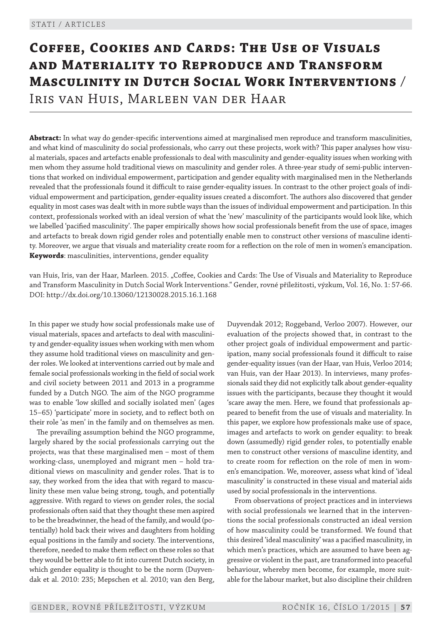# **Coffee, Cookies and Cards: The Use of Visuals and Materiality to Reproduce and Transform Masculinity in Dutch Social Work Interventions** / Iris van Huis, Marleen van der Haar

**Abstract:** In what way do gender -specific interventions aimed at marginalised men reproduce and transform masculinities, and what kind of masculinity do social professionals, who carry out these projects, work with? This paper analyses how visual materials, spaces and artefacts enable professionals to deal with masculinity and gender -equality issues when working with men whom they assume hold traditional views on masculinity and gender roles. A three-year study of semi-public interventions that worked on individual empowerment, participation and gender equality with marginalised men in the Netherlands revealed that the professionals found it difficult to raise gender -equality issues. In contrast to the other project goals of individual empowerment and participation, gender -equality issues created a discomfort. The authors also discovered that gender equality in most cases was dealt with in more subtle ways than the issues of individual empowerment and participation. In this context, professionals worked with an ideal version of what the 'new' masculinity of the participants would look like, which we labelled 'pacified masculinity'. The paper empirically shows how social professionals benefit from the use of space, images and artefacts to break down rigid gender roles and potentially enable men to construct other versions of masculine identity. Moreover, we argue that visuals and materiality create room for a reflection on the role of men in women's emancipation. **Keywords**: masculinities, interventions, gender equality

van Huis, Iris, van der Haar, Marleen. 2015. "Coffee, Cookies and Cards: The Use of Visuals and Materiality to Reproduce and Transform Masculinity in Dutch Social Work Interventions." Gender, rovné příležitosti, výzkum, Vol. 16, No. 1: 57-66. DOI: http://dx.doi.org/10.13060/12130028.2015.16.1.168

In this paper we study how social professionals make use of visual materials, spaces and artefacts to deal with masculinity and gender -equality issues when working with men whom they assume hold traditional views on masculinity and gender roles. We looked at interventions carried out by male and female social professionals working in the field of social work and civil society between 2011 and 2013 in a programme funded by a Dutch NGO. The aim of the NGO programme was to enable 'low skilled and socially isolated men' (ages 15–65) 'participate' more in society, and to reflect both on their role 'as men' in the family and on themselves as men.

The prevailing assumption behind the NGO programme, largely shared by the social professionals carrying out the projects, was that these marginalised men – most of them working-class, unemployed and migrant men - hold traditional views on masculinity and gender roles. That is to say, they worked from the idea that with regard to masculinity these men value being strong, tough, and potentially aggressive. With regard to views on gender roles, the social professionals often said that they thought these men aspired to be the breadwinner, the head of the family, and would (potentially) hold back their wives and daughters from holding equal positions in the family and society. The interventions, therefore, needed to make them reflect on these roles so that they would be better able to fit into current Dutch society, in which gender equality is thought to be the norm (Duyvendak et al. 2010: 235; Mepschen et al. 2010; van den Berg,

Duyvendak 2012; Roggeband, Verloo 2007). However, our evaluation of the projects showed that, in contrast to the other project goals of individual empowerment and participation, many social professionals found it difficult to raise gender -equality issues (van der Haar, van Huis, Verloo 2014; van Huis, van der Haar 2013). In interviews, many professionals said they did not explicitly talk about gender -equality issues with the participants, because they thought it would 'scare away the men. Here, we found that professionals appeared to benefit from the use of visuals and materiality. In this paper, we explore how professionals make use of space, images and artefacts to work on gender equality: to break down (assumedly) rigid gender roles, to potentially enable men to construct other versions of masculine identity, and to create room for reflection on the role of men in women's emancipation. We, moreover, assess what kind of 'ideal masculinity' is constructed in these visual and material aids used by social professionals in the interventions.

From observations of project practices and in interviews with social professionals we learned that in the interventions the social professionals constructed an ideal version of how masculinity could be transformed. We found that this desired 'ideal masculinity' was a pacified masculinity, in which men's practices, which are assumed to have been aggressive or violent in the past, are transformed into peaceful behaviour, whereby men become, for example, more suitable for the labour market, but also discipline their children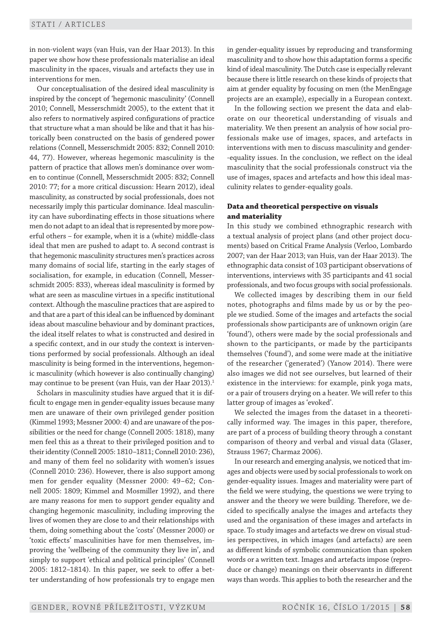in non -violent ways (van Huis, van der Haar 2013). In this paper we show how these professionals materialise an ideal masculinity in the spaces, visuals and artefacts they use in interventions for men.

Our conceptualisation of the desired ideal masculinity is inspired by the concept of 'hegemonic masculinity' (Connell 2010; Connell, Messerschmidt 2005), to the extent that it also refers to normatively aspired configurations of practice that structure what a man should be like and that it has historically been constructed on the basis of gendered power relations (Connell, Messerschmidt 2005: 832; Connell 2010: 44, 77). However, whereas hegemonic masculinity is the pattern of practice that allows men's dominance over women to continue (Connell, Messerschmidt 2005: 832; Connell 2010: 77; for a more critical discussion: Hearn 2012), ideal masculinity, as constructed by social professionals, does not necessarily imply this particular dominance. Ideal masculinity can have subordinating effects in those situations where men do not adapt to an ideal that is represented by more powerful others – for example, when it is a (white) middle -class ideal that men are pushed to adapt to. A second contrast is that hegemonic masculinity structures men's practices across many domains of social life, starting in the early stages of socialisation, for example, in education (Connell, Messerschmidt 2005: 833), whereas ideal masculinity is formed by what are seen as masculine virtues in a specific institutional context. Although the masculine practices that are aspired to and that are a part of this ideal can be influenced by dominant ideas about masculine behaviour and by dominant practices, the ideal itself relates to what is constructed and desired in a specific context, and in our study the context is interventions performed by social professionals. Although an ideal masculinity is being formed in the interventions, hegemonic masculinity (which however is also continually changing) may continue to be present (van Huis, van der Haar 2013).<sup>1</sup>

Scholars in masculinity studies have argued that it is difficult to engage men in gender -equality issues because many men are unaware of their own privileged gender position (Kimmel 1993; Messner 2000: 4) and are unaware of the possibilities or the need for change (Connell 2005: 1818), many men feel this as a threat to their privileged position and to their identity (Connell 2005: 1810–1811; Connell 2010: 236), and many of them feel no solidarity with women's issues (Connell 2010: 236). However, there is also support among men for gender equality (Messner 2000: 49–62; Connell 2005: 1809; Kimmel and Mosmiller 1992), and there are many reasons for men to support gender equality and changing hegemonic masculinity, including improving the lives of women they are close to and their relationships with them, doing something about the 'costs' (Messner 2000) or 'toxic effects' masculinities have for men themselves, improving the 'wellbeing of the community they live in', and simply to support 'ethical and political principles' (Connell 2005: 1812–1814). In this paper, we seek to offer a better understanding of how professionals try to engage men in gender -equality issues by reproducing and transforming masculinity and to show how this adaptation forms a specific kind of ideal masculinity. The Dutch case is especially relevant because there is little research on these kinds of projects that aim at gender equality by focusing on men (the MenEngage projects are an example), especially in a European context.

In the following section we present the data and elaborate on our theoretical understanding of visuals and materiality. We then present an analysis of how social professionals make use of images, spaces, and artefacts in interventions with men to discuss masculinity and gender- -equality issues. In the conclusion, we reflect on the ideal masculinity that the social professionals construct via the use of images, spaces and artefacts and how this ideal masculinity relates to gender -equality goals.

## **Data and theoretical perspective on visuals and materiality**

In this study we combined ethnographic research with a textual analysis of project plans (and other project documents) based on Critical Frame Analysis (Verloo, Lombardo 2007; van der Haar 2013; van Huis, van der Haar 2013). The ethno graphic data consist of 103 participant observations of interventions, interviews with 35 participants and 41 social professionals, and two focus groups with social professionals.

We collected images by describing them in our field notes, photographs and films made by us or by the people we studied. Some of the images and artefacts the social professionals show participants are of unknown origin (are 'found'), others were made by the social professionals and shown to the participants, or made by the participants themselves ('found'), and some were made at the initiative of the researcher ('generated') (Yanow 2014). There were also images we did not see ourselves, but learned of their existence in the interviews: for example, pink yoga mats, or a pair of trousers drying on a heater. We will refer to this latter group of images as 'evoked'.

We selected the images from the dataset in a theoretically informed way. The images in this paper, therefore, are part of a process of building theory through a constant comparison of theory and verbal and visual data (Glaser, Strauss 1967; Charmaz 2006).

In our research and emerging analysis, we noticed that images and objects were used by social professionals to work on gender -equality issues. Images and materiality were part of the field we were studying, the questions we were trying to answer and the theory we were building. Therefore, we decided to specifically analyse the images and artefacts they used and the organisation of these images and artefacts in space. To study images and artefacts we drew on visual studies perspectives, in which images (and artefacts) are seen as different kinds of symbolic communication than spoken words or a written text. Images and artefacts impose (reproduce or change) meanings on their observants in different ways than words. This applies to both the researcher and the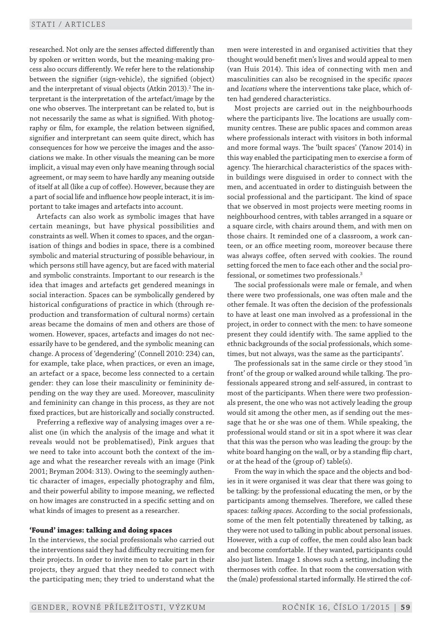researched. Not only are the senses affected differently than by spoken or written words, but the meaning-making process also occurs differently. We refer here to the relationship between the signifier (sign-vehicle), the signified (object) and the interpretant of visual objects (Atkin 2013). $^2$  The interpretant is the interpretation of the artefact/image by the one who observes. The interpretant can be related to, but is not necessarily the same as what is signified. With photography or film, for example, the relation between signified, signifier and interpretant can seem quite direct, which has consequences for how we perceive the images and the associations we make. In other visuals the meaning can be more implicit, a visual may even only have meaning through social agreement, or may seem to have hardly any meaning outside of itself at all (like a cup of coffee). However, because they are a part of social life and influence how people interact, it is important to take images and artefacts into account.

Artefacts can also work as symbolic images that have certain meanings, but have physical possibilities and constraints as well. When it comes to spaces, and the organisation of things and bodies in space, there is a combined symbolic and material structuring of possible behaviour, in which persons still have agency, but are faced with material and symbolic constraints. Important to our research is the idea that images and artefacts get gendered meanings in social interaction. Spaces can be symbolically gendered by historical configurations of practice in which (through reproduction and transformation of cultural norms) certain areas became the domains of men and others are those of women. However, spaces, artefacts and images do not necessarily have to be gendered, and the symbolic meaning can change. A process of 'degendering' (Connell 2010: 234) can, for example, take place, when practices, or even an image, an artefact or a space, become less connected to a certain gender: they can lose their masculinity or femininity depending on the way they are used. Moreover, masculinity and femininity can change in this process, as they are not fixed practices, but are historically and socially constructed.

Preferring a reflexive way of analysing images over a realist one (in which the analysis of the image and what it reveals would not be problematised), Pink argues that we need to take into account both the context of the image and what the researcher reveals with an image (Pink 2001; Bryman 2004: 313). Owing to the seemingly authentic character of images, especially photography and film, and their powerful ability to impose meaning, we reflected on how images are constructed in a specific setting and on what kinds of images to present as a researcher.

#### **'Found' images: talking and doing spaces**

In the interviews, the social professionals who carried out the interventions said they had difficulty recruiting men for their projects. In order to invite men to take part in their projects, they argued that they needed to connect with the participating men; they tried to understand what the men were interested in and organised activities that they thought would benefit men's lives and would appeal to men (van Huis 2014). This idea of connecting with men and masculinities can also be recognised in the specific *spaces* and *locations* where the interventions take place, which often had gendered characteristics.

Most projects are carried out in the neighbourhoods where the participants live. The locations are usually community centres. These are public spaces and common areas where professionals interact with visitors in both informal and more formal ways. The 'built spaces' (Yanow 2014) in this way enabled the participating men to exercise a form of agency. The hierarchical characteristics of the spaces within buildings were disguised in order to connect with the men, and accentuated in order to distinguish between the social professional and the participant. The kind of space that we observed in most projects were meeting rooms in neighbourhood centres, with tables arranged in a square or a square circle, with chairs around them, and with men on those chairs. It reminded one of a classroom, a work canteen, or an office meeting room, moreover because there was always coffee, often served with cookies. The round setting forced the men to face each other and the social professional, or sometimes two professionals.<sup>3</sup>

The social professionals were male or female, and when there were two professionals, one was often male and the other female. It was often the decision of the professionals to have at least one man involved as a professional in the project, in order to connect with the men: to have someone present they could identify with. The same applied to the ethnic backgrounds of the social professionals, which sometimes, but not always, was the same as the participants'.

The professionals sat in the same circle or they stood 'in front' of the group or walked around while talking. The professionals appeared strong and self-assured, in contrast to most of the participants. When there were two professionals present, the one who was not actively leading the group would sit among the other men, as if sending out the message that he or she was one of them. While speaking, the professional would stand or sit in a spot where it was clear that this was the person who was leading the group: by the white board hanging on the wall, or by a standing flip chart, or at the head of the (group of) table(s).

From the way in which the space and the objects and bodies in it were organised it was clear that there was going to be talking: by the professional educating the men, or by the participants among themselves. Therefore, we called these spaces: *talking spaces.* According to the social professionals, some of the men felt potentially threatened by talking, as they were not used to talking in public about personal issues. However, with a cup of coffee, the men could also lean back and become comfortable. If they wanted, participants could also just listen. Image 1 shows such a setting, including the thermoses with coffee. In that room the conversation with the (male) professional started informally. He stirred the cof-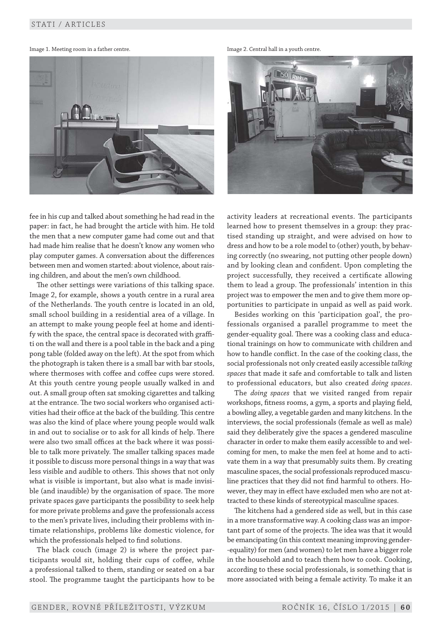Image 1. Meeting room in a father centre. The state of the state of the state of the state of the state of the state of the state of the state of the state of the state of the state of the state of the state of the state o





fee in his cup and talked about something he had read in the paper: in fact, he had brought the article with him. He told the men that a new computer game had come out and that had made him realise that he doesn't know any women who play computer games. A conversation about the differences between men and women started: about violence, about raising children, and about the men's own childhood.

The other settings were variations of this talking space. Image 2, for example, shows a youth centre in a rural area of the Netherlands. The youth centre is located in an old, small school building in a residential area of a village. In an attempt to make young people feel at home and identify with the space, the central space is decorated with graffiti on the wall and there is a pool table in the back and a ping pong table (folded away on the left). At the spot from which the photograph is taken there is a small bar with bar stools, where thermoses with coffee and coffee cups were stored. At this youth centre young people usually walked in and out. A small group often sat smoking cigarettes and talking at the entrance. The two social workers who organised activities had their office at the back of the building. This centre was also the kind of place where young people would walk in and out to socialise or to ask for all kinds of help. There were also two small offices at the back where it was possible to talk more privately. The smaller talking spaces made it possible to discuss more personal things in a way that was less visible and audible to others. This shows that not only what is visible is important, but also what is made invisible (and inaudible) by the organisation of space. The more private spaces gave participants the possibility to seek help for more private problems and gave the professionals access to the men's private lives, including their problems with intimate relationships, problems like domestic violence, for which the professionals helped to find solutions.

The black couch (image 2) is where the project participants would sit, holding their cups of coffee, while a professional talked to them, standing or seated on a bar stool. The programme taught the participants how to be

activity leaders at recreational events. The participants learned how to present themselves in a group: they practised standing up straight, and were advised on how to dress and how to be a role model to (other) youth, by behaving correctly (no swearing, not putting other people down) and by looking clean and confident. Upon completing the project successfully, they received a certificate allowing them to lead a group. The professionals' intention in this project was to empower the men and to give them more opportunities to participate in unpaid as well as paid work.

Besides working on this 'participation goal', the professionals organised a parallel programme to meet the gender -equality goal. There was a cooking class and educational trainings on how to communicate with children and how to handle conflict. In the case of the cooking class, the social professionals not only created easily accessible *talking spaces* that made it safe and comfortable to talk and listen to professional educators, but also created *doing spaces*.

The *doing spaces* that we visited ranged from repair workshops, fitness rooms, a gym, a sports and playing field, a bowling alley, a vegetable garden and many kitchens. In the interviews, the social professionals (female as well as male) said they deliberately give the spaces a gendered masculine character in order to make them easily accessible to and welcoming for men, to make the men feel at home and to activate them in a way that presumably suits them. By creating masculine spaces, the social professionals reproduced masculine practices that they did not find harmful to others. However, they may in effect have excluded men who are not attracted to these kinds of stereotypical masculine spaces.

The kitchens had a gendered side as well, but in this case in a more transformative way. A cooking class was an important part of some of the projects. The idea was that it would be emancipating (in this context meaning improving gender- -equality) for men (and women) to let men have a bigger role in the household and to teach them how to cook. Cooking, according to these social professionals, is something that is more associated with being a female activity. To make it an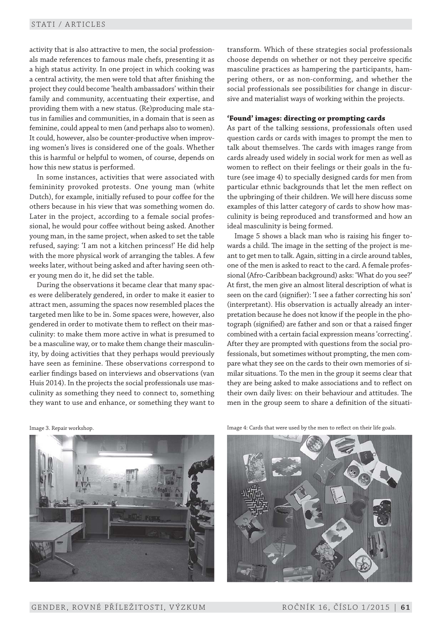activity that is also attractive to men, the social professionals made references to famous male chefs, presenting it as a high status activity. In one project in which cooking was a central activity, the men were told that after finishing the project they could become 'health ambassadors' within their family and community, accentuating their expertise, and providing them with a new status. (Re)producing male status in families and communities, in a domain that is seen as feminine, could appeal to men (and perhaps also to women). It could, however, also be counter -productive when improving women's lives is considered one of the goals. Whether this is harmful or helpful to women, of course, depends on how this new status is performed.

In some instances, activities that were associated with femininity provoked protests. One young man (white Dutch), for example, initially refused to pour coffee for the others because in his view that was something women do. Later in the project, according to a female social professional, he would pour coffee without being asked. Another young man, in the same project, when asked to set the table refused, saying: 'I am not a kitchen princess!' He did help with the more physical work of arranging the tables. A few weeks later, without being asked and after having seen other young men do it, he did set the table.

During the observations it became clear that many spaces were deliberately gendered, in order to make it easier to attract men, assuming the spaces now resembled places the targeted men like to be in. Some spaces were, however, also gendered in order to motivate them to reflect on their masculinity: to make them more active in what is presumed to be a masculine way, or to make them change their masculinity, by doing activities that they perhaps would previously have seen as feminine. These observations correspond to earlier findings based on interviews and observations (van Huis 2014). In the projects the social professionals use masculinity as something they need to connect to, something they want to use and enhance, or something they want to

transform. Which of these strategies social professionals choose depends on whether or not they perceive specific masculine practices as hampering the participants, hampering others, or as non -conforming, and whether the social professionals see possibilities for change in discursive and materialist ways of working within the projects.

## **'Found' images: directing or prompting cards**

As part of the talking sessions, professionals often used question cards or cards with images to prompt the men to talk about themselves. The cards with images range from cards already used widely in social work for men as well as women to reflect on their feelings or their goals in the future (see image 4) to specially designed cards for men from particular ethnic backgrounds that let the men reflect on the upbringing of their children. We will here discuss some examples of this latter category of cards to show how masculinity is being reproduced and transformed and how an ideal masculinity is being formed.

Image 5 shows a black man who is raising his finger towards a child. The image in the setting of the project is meant to get men to talk. Again, sitting in a circle around tables, one of the men is asked to react to the card. A female professional (Afro -Caribbean background) asks: 'What do you see?' At first, the men give an almost literal description of what is seen on the card (signifier): 'I see a father correcting his son' (interpretant). His observation is actually already an interpretation because he does not know if the people in the photograph (signified) are father and son or that a raised finger combined with a certain facial expression means 'correcting'. After they are prompted with questions from the social professionals, but sometimes without prompting, the men compare what they see on the cards to their own memories of similar situations. To the men in the group it seems clear that they are being asked to make associations and to reflect on their own daily lives: on their behaviour and attitudes. The men in the group seem to share a definition of the situati-



Image 3. Repair workshop. Image 4: Cards that were used by the men to reflect on their life goals.

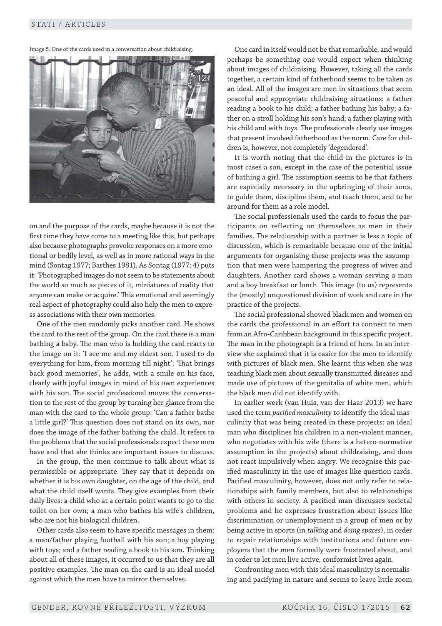Image 5. One of the cards used in a conversation about childraising.



on and the purpose of the cards, maybe because it is not the first time they have come to a meeting like this, but perhaps also because photographs provoke responses on a more emotional or bodily level, as well as in more rational ways in the mind (Sontag 1977; Barthes 1981). As Sontag (1977: 4) puts it: 'Photographed images do not seem to be statements about the world so much as pieces of it, miniatures of reality that anyone can make or acquire.' This emotional and seemingly real aspect of photography could also help the men to express associations with their own memories.

One of the men randomly picks another card. He shows the card to the rest of the group. On the card there is a man bathing a baby. The man who is holding the card reacts to the image on it: 'I see me and my eldest son. I used to do every thing for him, from morning till night'; 'That brings back good memories', he adds, with a smile on his face, clearly with joyful images in mind of his own experiences with his son. The social professional moves the conversation to the rest of the group by turning her glance from the man with the card to the whole group: 'Can a father bathe a little girl?' This question does not stand on its own, nor does the image of the father bathing the child. It refers to the problems that the social professionals expect these men have and that she thinks are important issues to discuss.

In the group, the men continue to talk about what is permissible or appropriate. They say that it depends on whether it is his own daughter, on the age of the child, and what the child itself wants. They give examples from their daily lives: a child who at a certain point wants to go to the toilet on her own; a man who bathes his wife's children, who are not his biological children.

Other cards also seem to have specific messages in them: a man/father playing football with his son; a boy playing with toys; and a father reading a book to his son. Thinking about all of these images, it occurred to us that they are all positive examples. The man on the card is an ideal model against which the men have to mirror themselves.

One card in itself would not be that remarkable, and would perhaps be something one would expect when thinking about images of childraising. However, taking all the cards together, a certain kind of fatherhood seems to be taken as an ideal. All of the images are men in situations that seem peaceful and appropriate childraising situations: a father reading a book to his child; a father bathing his baby; a father on a stroll holding his son's hand; a father playing with his child and with toys. The professionals clearly use images that present involved fatherhood as the norm. Care for children is, however, not completely 'degendered'.

It is worth noting that the child in the pictures is in most cases a son, except in the case of the potential issue of bathing a girl. The assumption seems to be that fathers are especially necessary in the upbringing of their sons, to guide them, discipline them, and teach them, and to be around for them as a role model.

The social professionals used the cards to focus the participants on reflecting on themselves as men in their families. The relationship with a partner is less a topic of discussion, which is remarkable because one of the initial arguments for organising these projects was the assumption that men were hampering the progress of wives and daughters. Another card shows a woman serving a man and a boy breakfast or lunch. This image (to us) represents the (mostly) unquestioned division of work and care in the practice of the projects.

The social professional showed black men and women on the cards the professional in an effort to connect to men from an Afro-Caribbean background in this specific project. The man in the photograph is a friend of hers. In an interview she explained that it is easier for the men to identify with pictures of black men. She learnt this when she was teaching black men about sexually transmitted diseases and made use of pictures of the genitalia of white men, which the black men did not identify with.

In earlier work (van Huis, van der Haar 2013) we have used the term *pacified masculinity* to identify the ideal masculinity that was being created in these projects: an ideal man who disciplines his children in a non-violent manner, who negotiates with his wife (there is a hetero-normative assumption in the projects) about childraising, and does not react impulsively when angry. We recognise this pacified masculinity in the use of images like question cards. Pacified masculinity, however, does not only refer to relationships with family members, but also to relationships with others in society. A pacified man discusses societal problems and he expresses frustration about issues like discrimination or unemployment in a group of men or by being active in sports (in *talking* and *doing spaces*), in order to repair relationships with institutions and future employers that the men formally were frustrated about, and in order to let men live active, conformist lives again.

Confronting men with this ideal masculinity is normalising and pacifying in nature and seems to leave little room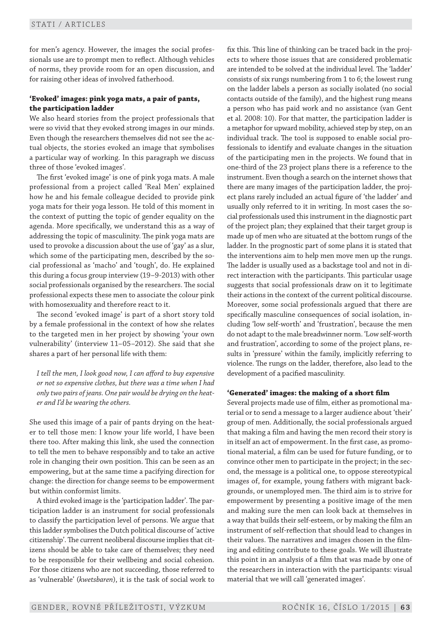for men's agency. However, the images the social professionals use are to prompt men to reflect. Although vehicles of norms, they provide room for an open discussion, and for raising other ideas of involved fatherhood.

## **'Evoked' images: pink yoga mats, a pair of pants, the participation ladder**

We also heard stories from the project professionals that were so vivid that they evoked strong images in our minds. Even though the researchers themselves did not see the actual objects, the stories evoked an image that symbolises a particular way of working. In this paragraph we discuss three of those 'evoked images'.

The first 'evoked image' is one of pink yoga mats. A male professional from a project called 'Real Men' explained how he and his female colleague decided to provide pink yoga mats for their yoga lesson. He told of this moment in the context of putting the topic of gender equality on the agenda. More specifically, we understand this as a way of addressing the topic of masculinity. The pink yoga mats are used to provoke a discussion about the use of 'gay' as a slur, which some of the participating men, described by the social professional as 'macho' and 'tough', do. He explained this during a focus group interview (19–9 -2013) with other social professionals organised by the researchers. The social professional expects these men to associate the colour pink with homosexuality and therefore react to it.

The second 'evoked image' is part of a short story told by a female professional in the context of how she relates to the targeted men in her project by showing 'your own vulnerability' (interview 11–05–2012). She said that she shares a part of her personal life with them:

*I tell the men, I look good now, I can afford to buy expensive or not so expensive clothes, but there was a time when I had only two pairs of jeans. One pair would be drying on the heater and I'd be wearing the others.*

She used this image of a pair of pants drying on the heater to tell those men: I know your life world, I have been there too. After making this link, she used the connection to tell the men to behave responsibly and to take an active role in changing their own position. This can be seen as an empowering, but at the same time a pacifying direction for change: the direction for change seems to be empowerment but within conformist limits.

A third evoked image is the 'participation ladder'. The participation ladder is an instrument for social professionals to classify the participation level of persons. We argue that this ladder symbolises the Dutch political discourse of 'active citizenship'. The current neoliberal discourse implies that citizens should be able to take care of themselves; they need to be responsible for their wellbeing and social cohesion. For those citizens who are not succeeding, those referred to as 'vulnerable' (*kwetsbaren*), it is the task of social work to

fix this. This line of thinking can be traced back in the projects to where those issues that are considered problematic are intended to be solved at the individual level. The 'ladder' consists of six rungs numbering from 1 to 6; the lowest rung on the ladder labels a person as socially isolated (no social contacts outside of the family), and the highest rung means a person who has paid work and no assistance (van Gent et al. 2008: 10). For that matter, the participation ladder is a metaphor for upward mobility, achieved step by step, on an individual track. The tool is supposed to enable social professionals to identify and evaluate changes in the situation of the participating men in the projects. We found that in one -third of the 23 project plans there is a reference to the instrument. Even though a search on the internet shows that there are many images of the participation ladder, the project plans rarely included an actual figure of 'the ladder' and usually only referred to it in writing. In most cases the social professionals used this instrument in the diagnostic part of the project plan; they explained that their target group is made up of men who are situated at the bottom rungs of the ladder. In the prognostic part of some plans it is stated that the interventions aim to help men move men up the rungs. The ladder is usually used as a backstage tool and not in direct interaction with the participants. This particular usage suggests that social professionals draw on it to legitimate their actions in the context of the current political discourse. Moreover, some social professionals argued that there are specifically masculine consequences of social isolation, including 'low self-worth' and 'frustration', because the men do not adapt to the male breadwinner norm. 'Low self-worth and frustration', according to some of the project plans, results in 'pressure' within the family, implicitly referring to violence. The rungs on the ladder, therefore, also lead to the development of a pacified masculinity.

## **'Generated' images: the making of a short film**

Several projects made use of film, either as promotional material or to send a message to a larger audience about 'their' group of men. Additionally, the social professionals argued that making a film and having the men record their story is in itself an act of empowerment. In the first case, as promotional material, a film can be used for future funding, or to convince other men to participate in the project; in the second, the message is a political one, to oppose stereotypical images of, for example, young fathers with migrant backgrounds, or unemployed men. The third aim is to strive for empowerment by presenting a positive image of the men and making sure the men can look back at themselves in a way that builds their self -esteem, or by making the film an instrument of self-reflection that should lead to changes in their values. The narratives and images chosen in the filming and editing contribute to these goals. We will illustrate this point in an analysis of a film that was made by one of the researchers in interaction with the participants: visual material that we will call 'generated images'.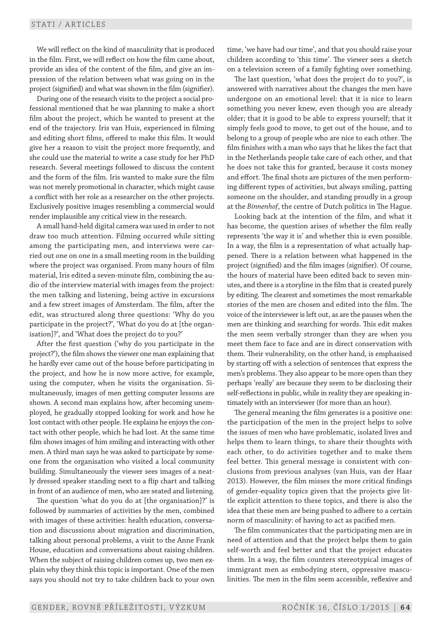We will reflect on the kind of masculinity that is produced in the film. First, we will reflect on how the film came about, provide an idea of the content of the film, and give an impression of the relation between what was going on in the project (signified) and what was shown in the film (signifier).

During one of the research visits to the project a social professional mentioned that he was planning to make a short film about the project, which he wanted to present at the end of the trajectory. Iris van Huis, experienced in filming and editing short films, offered to make this film. It would give her a reason to visit the project more frequently, and she could use the material to write a case study for her PhD research. Several meetings followed to discuss the content and the form of the film. Iris wanted to make sure the film was not merely promotional in character, which might cause a conflict with her role as a researcher on the other projects. Exclusively positive images resembling a commercial would render implausible any critical view in the research.

A small hand -held digital camera was used in order to not draw too much attention. Filming occurred while sitting among the participating men, and interviews were carried out one on one in a small meeting room in the building where the project was organised. From many hours of film material, Iris edited a seven -minute film, combining the audio of the interview material with images from the project: the men talking and listening, being active in excursions and a few street images of Amsterdam. The film, after the edit, was structured along three questions: 'Why do you participate in the project?', 'What do you do at [the organisation]?', and 'What does the project do to you?'

After the first question ('why do you participate in the project?'), the film shows the viewer one man explaining that he hardly ever came out of the house before participating in the project, and how he is now more active, for example, using the computer, when he visits the organisation. Simultaneously, images of men getting computer lessons are shown. A second man explains how, after becoming unemployed, he gradually stopped looking for work and how he lost contact with other people. He explains he enjoys the contact with other people, which he had lost. At the same time film shows images of him smiling and interacting with other men. A third man says he was asked to participate by someone from the organisation who visited a local community building. Simultaneously the viewer sees images of a neatly dressed speaker standing next to a flip chart and talking in front of an audience of men, who are seated and listening.

The question 'what do you do at [the organisation]?' is followed by summaries of activities by the men, combined with images of these activities: health education, conversation and discussions about migration and discrimination, talking about personal problems, a visit to the Anne Frank House, education and conversations about raising children. When the subject of raising children comes up, two men explain why they think this topic is important. One of the men says you should not try to take children back to your own

time, 'we have had our time', and that you should raise your children according to 'this time'. The viewer sees a sketch on a television screen of a family fighting over something.

The last question, 'what does the project do to you?', is answered with narratives about the changes the men have undergone on an emotional level: that it is nice to learn something you never knew, even though you are already older; that it is good to be able to express yourself; that it simply feels good to move, to get out of the house, and to belong to a group of people who are nice to each other. The film finishes with a man who says that he likes the fact that in the Netherlands people take care of each other, and that he does not take this for granted, because it costs money and effort. The final shots are pictures of the men performing different types of activities, but always smiling, patting someone on the shoulder, and standing proudly in a group at the *Binnenhof*, the centre of Dutch politics in The Hague.

Looking back at the intention of the film, and what it has become, the question arises of whether the film really represents 'the way it is' and whether this is even possible. In a way, the film is a representation of what actually happened. There is a relation between what happened in the project (signified) and the film images (signifier). Of course, the hours of material have been edited back to seven minutes, and there is a storyline in the film that is created purely by editing. The clearest and sometimes the most remarkable stories of the men are chosen and edited into the film. The voice of the interviewer is left out, as are the pauses when the men are thinking and searching for words. This edit makes the men seem verbally stronger than they are when you meet them face to face and are in direct conservation with them. Their vulnerability, on the other hand, is emphasised by starting off with a selection of sentences that express the men's problems. They also appear to be more open than they perhaps 'really' are because they seem to be disclosing their self-reflections in public, while in reality they are speaking intimately with an interviewer (for more than an hour).

The general meaning the film generates is a positive one: the participation of the men in the project helps to solve the issues of men who have problematic, isolated lives and helps them to learn things, to share their thoughts with each other, to do activities together and to make them feel better. This general message is consistent with conclusions from previous analyses (van Huis, van der Haar 2013). However, the film misses the more critical findings of gender -equality topics given that the projects give little explicit attention to these topics, and there is also the idea that these men are being pushed to adhere to a certain norm of masculinity: of having to act as pacified men.

The film communicates that the participating men are in need of attention and that the project helps them to gain self-worth and feel better and that the project educates them. In a way, the film counters stereotypical images of immigrant men as embodying stern, oppressive masculinities. The men in the film seem accessible, reflexive and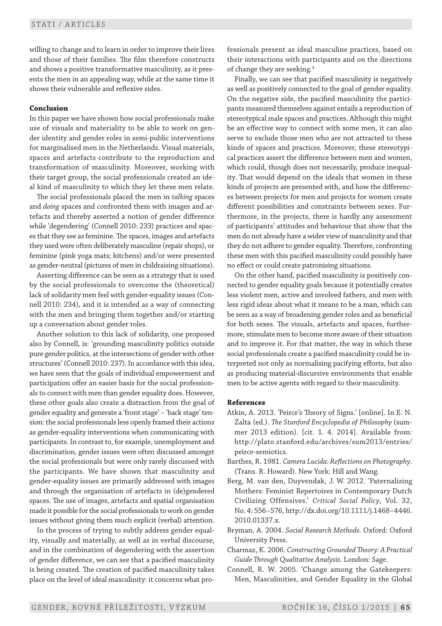willing to change and to learn in order to improve their lives and those of their families. The film therefore constructs and shows a positive transformative masculinity, as it presents the men in an appealing way, while at the same time it shows their vulnerable and reflexive sides.

## **Conclusion**

In this paper we have shown how social professionals make use of visuals and materiality to be able to work on gender identity and gender roles in semi-public interventions for marginalised men in the Netherlands. Visual materials, spaces and artefacts contribute to the reproduction and transformation of masculinity. Moreover, working with their target group, the social professionals created an ideal kind of masculinity to which they let these men relate.

The social professionals placed the men in *talking* spaces and *doing* spaces and confronted them with images and artefacts and thereby asserted a notion of gender difference while 'degendering' (Connell 2010: 233) practices and spaces that they see as feminine. The spaces, images and artefacts they used were often deliberately masculine (repair shops), or feminine (pink yoga mats; kitchens) and/or were presented as gender -neutral (pictures of men in childraising situations).

Asserting difference can be seen as a strategy that is used by the social professionals to overcome the (theoretical) lack of solidarity men feel with gender -equality issues (Connell 2010: 234), and it is intended as a way of connecting with the men and bringing them together and/or starting up a conversation about gender roles.

Another solution to this lack of solidarity, one proposed also by Connell, is: 'grounding masculinity politics outside pure gender politics, at the intersections of gender with other structures' (Connell 2010: 237). In accordance with this idea, we have seen that the goals of individual empowerment and participation offer an easier basis for the social professionals to connect with men than gender equality does. However, these other goals also create a distraction from the goal of gender equality and generate a 'front stage' – 'back stage' tension: the social professionals less openly framed their actions as gender -equality interventions when communicating with participants. In contrast to, for example, unemployment and discrimination, gender issues were often discussed amongst the social professionals but were only rarely discussed with the participants. We have shown that masculinity and gender -equality issues are primarily addressed with images and through the organisation of artefacts in (de)gendered spaces. The use of images, artefacts and spatial organisation made it possible for the social professionals to work on gender issues without giving them much explicit (verbal) attention.

In the process of trying to subtly address gender equality, visually and materially, as well as in verbal discourse, and in the combination of degendering with the assertion of gender difference, we can see that a pacified masculinity is being created. The creation of pacified masculinity takes place on the level of ideal masculinity: it concerns what professionals present as ideal masculine practices, based on their interactions with participants and on the directions of change they are seeking.4

Finally, we can see that pacified masculinity is negatively as well as positively connected to the goal of gender equality. On the negative side, the pacified masculinity the participants measured themselves against entails a reproduction of stereotypical male spaces and practices. Although this might be an effective way to connect with some men, it can also serve to exclude those men who are not attracted to these kinds of spaces and practices. Moreover, these stereotypical practices assert the difference between men and women, which could, though does not necessarily, produce inequality. That would depend on the ideals that women in these kinds of projects are presented with, and how the differences between projects for men and projects for women create different possibilities and constraints between sexes. Furthermore, in the projects, there is hardly any assessment of participants' attitudes and behaviour that show that the men do not already have a wider view of masculinity and that they do not adhere to gender equality. Therefore, confronting these men with this pacified masculinity could possibly have no effect or could create patronising situations.

On the other hand, pacified masculinity is positively connected to gender equality goals because it potentially creates less violent men, active and involved fathers, and men with less rigid ideas about what it means to be a man, which can be seen as a way of broadening gender roles and as beneficial for both sexes. The visuals, artefacts and spaces, furthermore, stimulate men to become more aware of their situation and to improve it. For that matter, the way in which these social professionals create a pacified masculinity could be interpreted not only as normalising pacifying efforts, but also as producing material-discursive environments that enable men to be active agents with regard to their masculinity.

#### **References**

- Atkin, A. 2013. 'Peirce's Theory of Signs.' [online]. In E. N. Zalta (ed.). *The Stanford Encyclopedia of Philosophy* (summer 2013 edition). [cit. 1. 4. 2014]. Available from: http://plato.stanford.edu/archives/sum2013/entries/ peirce -semiotics.
- Barthes, R. 1981. *Camera Lucida: Reflections on Photography*. (Trans. R. Howard). New York: Hill and Wang.
- Berg, M. van den, Duyvendak, J. W. 2012. 'Paternalizing Mothers: Feminist Repertoires in Contemporary Dutch Civilizing Offensives.' *Critical Social Policy*, Vol. 32, No. 4: 556–576, http://dx.doi.org/10.1111/j.1468–4446. 2010.01337.x.
- Bryman, A. 2004. *Social Research Methods.* Oxford: Oxford University Press.
- Charmaz, K. 2006. *Constructing Grounded Theory: A Practical Guide Through Qualitative Analysis.* London: Sage.
- Connell, R. W. 2005. 'Change among the Gatekeepers: Men, Masculinities, and Gender Equality in the Global